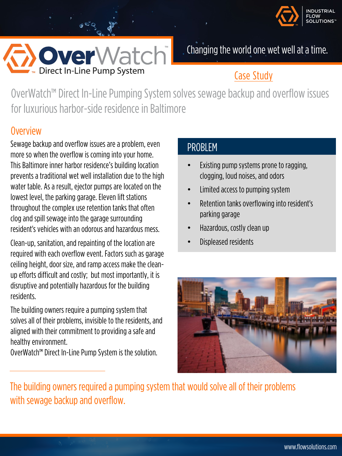



Changing the world one wet well at a time.

## Case Study

OverWatch™ Direct In-Line Pumping System solves sewage backup and overflow issues for luxurious harbor-side residence in Baltimore

#### **Overview**

Sewage backup and overflow issues are a problem, even more so when the overflow is coming into your home. This Baltimore inner harbor residence's building location prevents a traditional wet well installation due to the high water table. As a result, ejector pumps are located on the lowest level, the parking garage. Eleven lift stations throughout the complex use retention tanks that often clog and spill sewage into the garage surrounding resident's vehicles with an odorous and hazardous mess.

Clean-up, sanitation, and repainting of the location are required with each overflow event. Factors such as garage ceiling height, door size, and ramp access make the cleanup efforts difficult and costly; but most importantly, it is disruptive and potentially hazardous for the building residents.

The building owners require a pumping system that solves all of their problems, invisible to the residents, and aligned with their commitment to providing a safe and healthy environment.

OverWatch™ Direct In-Line Pump System is the solution.

#### PROBLEM

- Existing pump systems prone to ragging, clogging, loud noises, and odors
- Limited access to pumping system
- Retention tanks overflowing into resident's parking garage
- Hazardous, costly clean up
- Displeased residents



The building owners required a pumping system that would solve all of their problems with sewage backup and overflow.